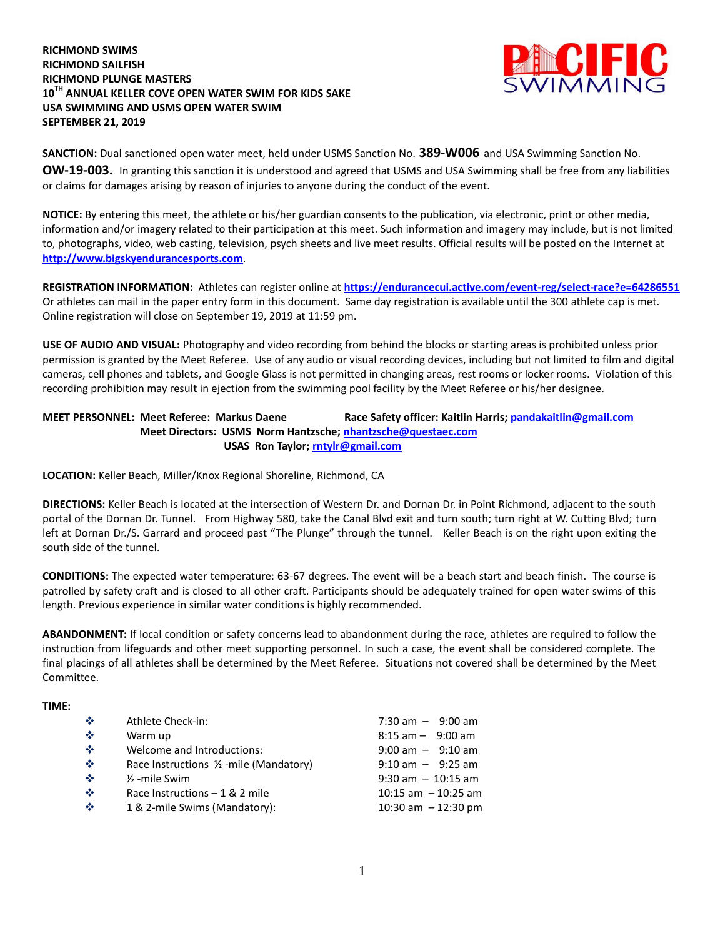#### **RICHMOND SWIMS RICHMOND SAILFISH RICHMOND PLUNGE MASTERS 10TH ANNUAL KELLER COVE OPEN WATER SWIM FOR KIDS SAKE USA SWIMMING AND USMS OPEN WATER SWIM SEPTEMBER 21, 2019**



**SANCTION:** Dual sanctioned open water meet, held under USMS Sanction No. **389-W006** and USA Swimming Sanction No. **OW-19-003.** In granting this sanction it is understood and agreed that USMS and USA Swimming shall be free from any liabilities or claims for damages arising by reason of injuries to anyone during the conduct of the event.

**NOTICE:** By entering this meet, the athlete or his/her guardian consents to the publication, via electronic, print or other media, information and/or imagery related to their participation at this meet. Such information and imagery may include, but is not limited to, photographs, video, web casting, television, psych sheets and live meet results. Official results will be posted on the Internet at **[http://www.bigskyendurancesports.com](http://www.bigskyendurancesports.com/)**.

**REGISTRATION INFORMATION:** Athletes can register online at **<https://endurancecui.active.com/event-reg/select-race?e=64286551>** Or athletes can mail in the paper entry form in this document. Same day registration is available until the 300 athlete cap is met. Online registration will close on September 19, 2019 at 11:59 pm.

**USE OF AUDIO AND VISUAL:** Photography and video recording from behind the blocks or starting areas is prohibited unless prior permission is granted by the Meet Referee. Use of any audio or visual recording devices, including but not limited to film and digital cameras, cell phones and tablets, and Google Glass is not permitted in changing areas, rest rooms or locker rooms. Violation of this recording prohibition may result in ejection from the swimming pool facility by the Meet Referee or his/her designee.

#### **MEET PERSONNEL: Meet Referee: Markus Daene Race Safety officer: Kaitlin Harris[; pandakaitlin@gmail.com](mailto:pandakaitlin@gmail.com) Meet Directors: USMS Norm Hantzsche; [nhantzsche@questaec.com](mailto:nhantzsche@questaec.com) USAS Ron Taylor; [rntylr@gmail.com](mailto:rntylr@gmail.com)**

**LOCATION:** Keller Beach, Miller/Knox Regional Shoreline, Richmond, CA

**DIRECTIONS:** Keller Beach is located at the intersection of Western Dr. and Dornan Dr. in Point Richmond, adjacent to the south portal of the Dornan Dr. Tunnel. From Highway 580, take the Canal Blvd exit and turn south; turn right at W. Cutting Blvd; turn left at Dornan Dr./S. Garrard and proceed past "The Plunge" through the tunnel. Keller Beach is on the right upon exiting the south side of the tunnel.

**CONDITIONS:** The expected water temperature: 63-67 degrees. The event will be a beach start and beach finish. The course is patrolled by safety craft and is closed to all other craft. Participants should be adequately trained for open water swims of this length. Previous experience in similar water conditions is highly recommended.

**ABANDONMENT:** If local condition or safety concerns lead to abandonment during the race, athletes are required to follow the instruction from lifeguards and other meet supporting personnel. In such a case, the event shall be considered complete. The final placings of all athletes shall be determined by the Meet Referee. Situations not covered shall be determined by the Meet Committee.

#### **TIME:**

| $\mathcal{L}_{\mathcal{C}}$<br>$\mathcal{L}_{\mathcal{C}}$<br>$\mathcal{L}_{\mathcal{C}}$<br>$\mathcal{L}_{\mathcal{C}}$<br>$\mathcal{L}_{\mathcal{C}}$<br>$\mathcal{L}_{\mathcal{C}}$ | Athlete Check-in:<br>Warm up<br>Welcome and Introductions:<br>Race Instructions $\frac{1}{2}$ -mile (Mandatory)<br>$\frac{1}{2}$ -mile Swim<br>Race Instructions $-1 & 2$ mile | $7:30 \text{ am } - 9:00 \text{ am}$<br>$8:15$ am $-$ 9:00 am<br>$9:00$ am $-$ 9:10 am<br>$9:10$ am $-$ 9:25 am<br>$9:30$ am $-10:15$ am<br>10:15 am $-$ 10:25 am |
|----------------------------------------------------------------------------------------------------------------------------------------------------------------------------------------|--------------------------------------------------------------------------------------------------------------------------------------------------------------------------------|-------------------------------------------------------------------------------------------------------------------------------------------------------------------|
| $\mathcal{L}_{\mathcal{C}}$                                                                                                                                                            | 1 & 2-mile Swims (Mandatory):                                                                                                                                                  | 10:30 am $-12:30$ pm                                                                                                                                              |
|                                                                                                                                                                                        |                                                                                                                                                                                |                                                                                                                                                                   |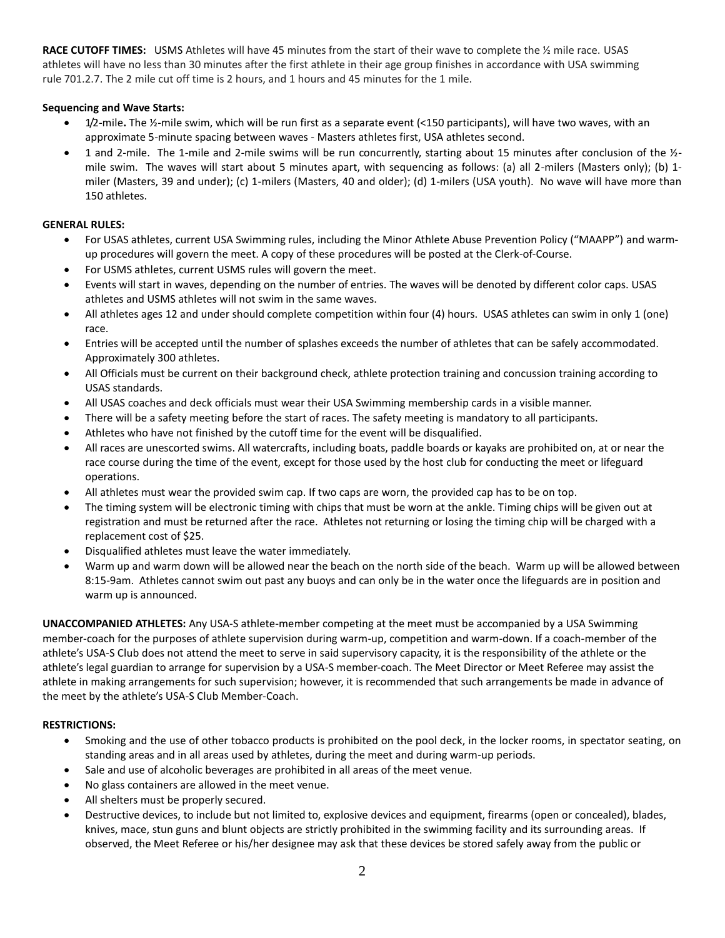**RACE CUTOFF TIMES:** USMS Athletes will have 45 minutes from the start of their wave to complete the ½ mile race. USAS athletes will have no less than 30 minutes after the first athlete in their age group finishes in accordance with USA swimming rule 701.2.7. The 2 mile cut off time is 2 hours, and 1 hours and 45 minutes for the 1 mile.

#### **Sequencing and Wave Starts:**

- 1/2-mile**.** The ½-mile swim, which will be run first as a separate event (<150 participants), will have two waves, with an approximate 5-minute spacing between waves - Masters athletes first, USA athletes second.
- 1 and 2-mile. The 1-mile and 2-mile swims will be run concurrently, starting about 15 minutes after conclusion of the ½ mile swim. The waves will start about 5 minutes apart, with sequencing as follows: (a) all 2-milers (Masters only); (b) 1 miler (Masters, 39 and under); (c) 1-milers (Masters, 40 and older); (d) 1-milers (USA youth). No wave will have more than 150 athletes.

#### **GENERAL RULES:**

- For USAS athletes, current USA Swimming rules, including the Minor Athlete Abuse Prevention Policy ("MAAPP") and warmup procedures will govern the meet. A copy of these procedures will be posted at the Clerk-of-Course.
- For USMS athletes, current USMS rules will govern the meet.
- Events will start in waves, depending on the number of entries. The waves will be denoted by different color caps. USAS athletes and USMS athletes will not swim in the same waves.
- All athletes ages 12 and under should complete competition within four (4) hours. USAS athletes can swim in only 1 (one) race.
- Entries will be accepted until the number of splashes exceeds the number of athletes that can be safely accommodated. Approximately 300 athletes.
- All Officials must be current on their background check, athlete protection training and concussion training according to USAS standards.
- All USAS coaches and deck officials must wear their USA Swimming membership cards in a visible manner.
- There will be a safety meeting before the start of races. The safety meeting is mandatory to all participants.
- Athletes who have not finished by the cutoff time for the event will be disqualified.
- All races are unescorted swims. All watercrafts, including boats, paddle boards or kayaks are prohibited on, at or near the race course during the time of the event, except for those used by the host club for conducting the meet or lifeguard operations.
- All athletes must wear the provided swim cap. If two caps are worn, the provided cap has to be on top.
- The timing system will be electronic timing with chips that must be worn at the ankle. Timing chips will be given out at registration and must be returned after the race. Athletes not returning or losing the timing chip will be charged with a replacement cost of \$25.
- Disqualified athletes must leave the water immediately.
- Warm up and warm down will be allowed near the beach on the north side of the beach. Warm up will be allowed between 8:15-9am. Athletes cannot swim out past any buoys and can only be in the water once the lifeguards are in position and warm up is announced.

**UNACCOMPANIED ATHLETES:** Any USA-S athlete-member competing at the meet must be accompanied by a USA Swimming member-coach for the purposes of athlete supervision during warm-up, competition and warm-down. If a coach-member of the athlete's USA-S Club does not attend the meet to serve in said supervisory capacity, it is the responsibility of the athlete or the athlete's legal guardian to arrange for supervision by a USA-S member-coach. The Meet Director or Meet Referee may assist the athlete in making arrangements for such supervision; however, it is recommended that such arrangements be made in advance of the meet by the athlete's USA-S Club Member-Coach.

#### **RESTRICTIONS:**

- Smoking and the use of other tobacco products is prohibited on the pool deck, in the locker rooms, in spectator seating, on standing areas and in all areas used by athletes, during the meet and during warm-up periods.
- Sale and use of alcoholic beverages are prohibited in all areas of the meet venue.
- No glass containers are allowed in the meet venue.
- All shelters must be properly secured.
- Destructive devices, to include but not limited to, explosive devices and equipment, firearms (open or concealed), blades, knives, mace, stun guns and blunt objects are strictly prohibited in the swimming facility and its surrounding areas. If observed, the Meet Referee or his/her designee may ask that these devices be stored safely away from the public or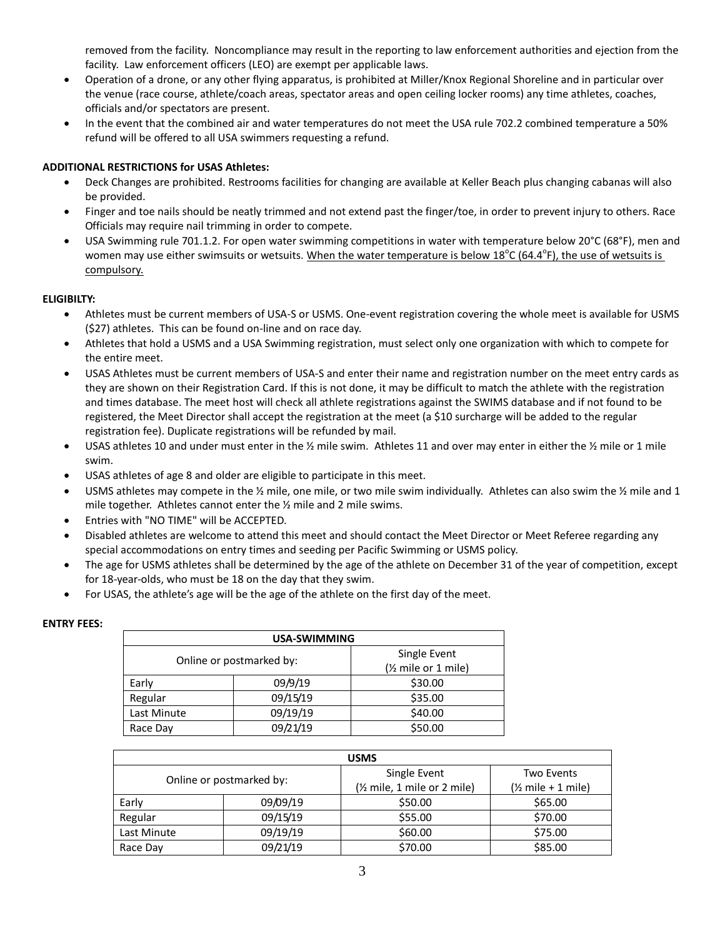removed from the facility. Noncompliance may result in the reporting to law enforcement authorities and ejection from the facility. Law enforcement officers (LEO) are exempt per applicable laws.

- Operation of a drone, or any other flying apparatus, is prohibited at Miller/Knox Regional Shoreline and in particular over the venue (race course, athlete/coach areas, spectator areas and open ceiling locker rooms) any time athletes, coaches, officials and/or spectators are present.
- In the event that the combined air and water temperatures do not meet the USA rule 702.2 combined temperature a 50% refund will be offered to all USA swimmers requesting a refund.

#### **ADDITIONAL RESTRICTIONS for USAS Athletes:**

- Deck Changes are prohibited. Restrooms facilities for changing are available at Keller Beach plus changing cabanas will also be provided.
- Finger and toe nails should be neatly trimmed and not extend past the finger/toe, in order to prevent injury to others. Race Officials may require nail trimming in order to compete.
- USA Swimming rule 701.1.2. For open water swimming competitions in water with temperature below 20°C (68°F), men and women may use either swimsuits or wetsuits. When the water temperature is below 18<sup>o</sup>C (64.4<sup>o</sup>F), the use of wetsuits is compulsory.

#### **ELIGIBILTY:**

- Athletes must be current members of USA-S or USMS. One-event registration covering the whole meet is available for USMS (\$27) athletes. This can be found on-line and on race day.
- Athletes that hold a USMS and a USA Swimming registration, must select only one organization with which to compete for the entire meet.
- USAS Athletes must be current members of USA-S and enter their name and registration number on the meet entry cards as they are shown on their Registration Card. If this is not done, it may be difficult to match the athlete with the registration and times database. The meet host will check all athlete registrations against the SWIMS database and if not found to be registered, the Meet Director shall accept the registration at the meet (a \$10 surcharge will be added to the regular registration fee). Duplicate registrations will be refunded by mail.
- USAS athletes 10 and under must enter in the  $\frac{1}{2}$  mile swim. Athletes 11 and over may enter in either the  $\frac{1}{2}$  mile or 1 mile swim.
- USAS athletes of age 8 and older are eligible to participate in this meet.
- USMS athletes may compete in the  $\frac{1}{2}$  mile, one mile, or two mile swim individually. Athletes can also swim the  $\frac{1}{2}$  mile and 1 mile together. Athletes cannot enter the ½ mile and 2 mile swims.
- Entries with "NO TIME" will be ACCEPTED.
- Disabled athletes are welcome to attend this meet and should contact the Meet Director or Meet Referee regarding any special accommodations on entry times and seeding per Pacific Swimming or USMS policy.
- The age for USMS athletes shall be determined by the age of the athlete on December 31 of the year of competition, except for 18-year-olds, who must be 18 on the day that they swim.
- For USAS, the athlete's age will be the age of the athlete on the first day of the meet.

| <b>ENTRY FEES:</b> |  |
|--------------------|--|
|                    |  |

| USA-SWIMMING                             |          |                                  |  |  |  |  |  |
|------------------------------------------|----------|----------------------------------|--|--|--|--|--|
| Single Event<br>Online or postmarked by: |          |                                  |  |  |  |  |  |
|                                          |          | (1/ <sub>2</sub> mile or 1 mile) |  |  |  |  |  |
| Early                                    | 09/9/19  | \$30.00                          |  |  |  |  |  |
| Regular                                  | 09/15/19 | \$35.00                          |  |  |  |  |  |
| Last Minute                              | 09/19/19 | \$40.00                          |  |  |  |  |  |
| Race Day                                 | 09/21/19 | \$50.00                          |  |  |  |  |  |

|             |                          | <b>USMS</b>                                  |                                         |  |  |  |
|-------------|--------------------------|----------------------------------------------|-----------------------------------------|--|--|--|
|             | Online or postmarked by: | Single Event<br>(1/2 mile, 1 mile or 2 mile) | <b>Two Events</b><br>$($ mile + 1 mile) |  |  |  |
| Early       | 09/09/19                 | \$50.00                                      | \$65.00                                 |  |  |  |
| Regular     | 09/15/19                 | \$55.00                                      | \$70.00                                 |  |  |  |
| Last Minute | 09/19/19                 | \$60.00                                      | \$75.00                                 |  |  |  |
| Race Day    | 09/21/19                 | \$70.00                                      | \$85.00                                 |  |  |  |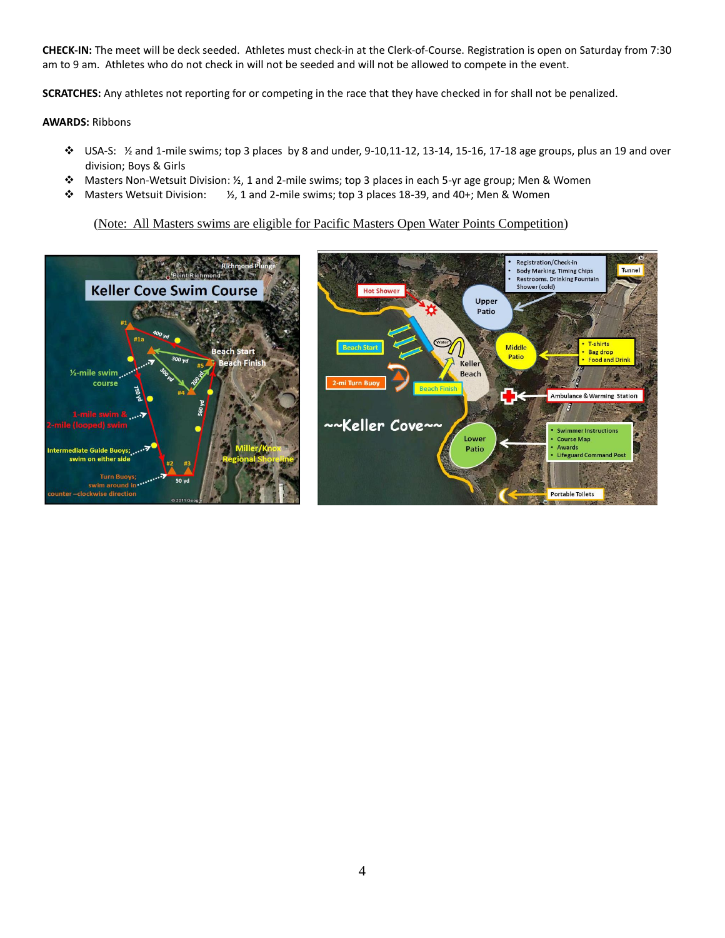**CHECK-IN:** The meet will be deck seeded. Athletes must check-in at the Clerk-of-Course. Registration is open on Saturday from 7:30 am to 9 am. Athletes who do not check in will not be seeded and will not be allowed to compete in the event.

**SCRATCHES:** Any athletes not reporting for or competing in the race that they have checked in for shall not be penalized.

#### **AWARDS:** Ribbons

- USA-S:  $\frac{1}{2}$  and 1-mile swims; top 3 places by 8 and under, 9-10,11-12, 13-14, 15-16, 17-18 age groups, plus an 19 and over division; Boys & Girls
- Masters Non-Wetsuit Division: ½, 1 and 2-mile swims; top 3 places in each 5-yr age group; Men & Women
- $\dots$  Masters Wetsuit Division:  $V_2$ , 1 and 2-mile swims; top 3 places 18-39, and 40+; Men & Women

#### (Note: All Masters swims are eligible for Pacific Masters Open Water Points Competition)

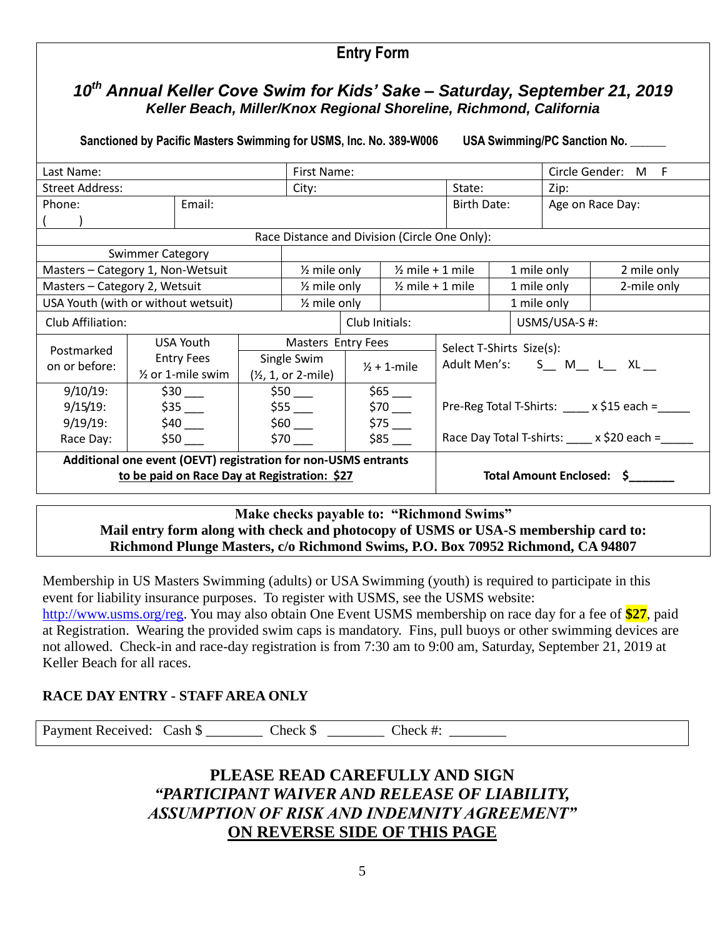# *10th Annual Keller Cove Swim for Kids' Sake – Saturday, September 21, 2019 Keller Beach, Miller/Knox Regional Shoreline, Richmond, California*

**Entry Form** 

Sanctioned by Pacific Masters Swimming for USMS, Inc. No. 389-W006 USA Swimming/PC Sanction No.

| Last Name:                                                     |                         |                              |                    | First Name:                                   |                        |                                       |                           |                       |                                                      |                  | Circle Gender: M F |
|----------------------------------------------------------------|-------------------------|------------------------------|--------------------|-----------------------------------------------|------------------------|---------------------------------------|---------------------------|-----------------------|------------------------------------------------------|------------------|--------------------|
| <b>Street Address:</b>                                         |                         |                              |                    | City:                                         |                        |                                       | State:                    |                       |                                                      | Zip:             |                    |
| Phone:                                                         |                         | Email:                       |                    |                                               |                        |                                       | Birth Date:               |                       |                                                      | Age on Race Day: |                    |
|                                                                |                         |                              |                    |                                               |                        |                                       |                           |                       |                                                      |                  |                    |
| Race Distance and Division (Circle One Only):                  |                         |                              |                    |                                               |                        |                                       |                           |                       |                                                      |                  |                    |
|                                                                | <b>Swimmer Category</b> |                              |                    |                                               |                        |                                       |                           |                       |                                                      |                  |                    |
| Masters - Category 1, Non-Wetsuit                              |                         |                              |                    | $\frac{1}{2}$ mile only                       |                        | $\frac{1}{2}$ mile + 1 mile           |                           |                       | 1 mile only                                          |                  | 2 mile only        |
| Masters - Category 2, Wetsuit                                  |                         |                              |                    | $\frac{1}{2}$ mile only                       |                        | $\frac{1}{2}$ mile + 1 mile           |                           |                       | 1 mile only                                          |                  | 2-mile only        |
| USA Youth (with or without wetsuit)                            |                         |                              |                    | $\frac{1}{2}$ mile only                       |                        |                                       |                           |                       | 1 mile only                                          |                  |                    |
| Club Affiliation:                                              |                         |                              | Club Initials:     |                                               | USMS/USA-S#:           |                                       |                           |                       |                                                      |                  |                    |
| USA Youth                                                      |                         |                              | Masters Entry Fees |                                               |                        | Select T-Shirts Size(s):              |                           |                       |                                                      |                  |                    |
| Postmarked                                                     |                         | <b>Entry Fees</b>            |                    | Single Swim                                   |                        |                                       |                           | Adult Men's: S M L XL |                                                      |                  |                    |
| on or before:                                                  |                         | $\frac{1}{2}$ or 1-mile swim |                    | $(\frac{1}{2}, 1, \text{ or } 2\text{-mile})$ | $\frac{1}{2}$ + 1-mile |                                       |                           |                       |                                                      |                  |                    |
| $9/10/19$ :                                                    |                         | $$30$ $-$                    |                    | $$50$ ___                                     |                        | $$65$ $-$                             |                           |                       |                                                      |                  |                    |
| $9/15/19$ :<br>\$35                                            |                         | \$55                         |                    | $$70$ $-$                                     |                        | Pre-Reg Total T-Shirts: x \$15 each = |                           |                       |                                                      |                  |                    |
| $9/19/19$ :                                                    |                         | \$60<br>$$40$ $-$            |                    | \$75                                          |                        |                                       |                           |                       |                                                      |                  |                    |
| Race Day:                                                      |                         | $$50$ $-$<br>$$70$ $-$       |                    |                                               |                        | \$85                                  |                           |                       | Race Day Total T-shirts: $\frac{\ }{}$ x \$20 each = |                  |                    |
| Additional one event (OEVT) registration for non-USMS entrants |                         |                              |                    |                                               |                        |                                       |                           |                       |                                                      |                  |                    |
| to be paid on Race Day at Registration: \$27                   |                         |                              |                    |                                               |                        |                                       | Total Amount Enclosed: \$ |                       |                                                      |                  |                    |
|                                                                |                         |                              |                    |                                               |                        |                                       |                           |                       |                                                      |                  |                    |

### **Make checks payable to: "Richmond Swims" Mail entry form along with check and photocopy of USMS or USA-S membership card to: Richmond Plunge Masters, c/o Richmond Swims, P.O. Box 70952 Richmond, CA 94807**

Membership in US Masters Swimming (adults) or USA Swimming (youth) is required to participate in this event for liability insurance purposes. To register with USMS, see the USMS website: [http://www.usms.org/reg.](http://www.usms.org/reg) You may also obtain One Event USMS membership on race day for a fee of **\$27**, paid at Registration. Wearing the provided swim caps is mandatory. Fins, pull buoys or other swimming devices are not allowed. Check-in and race-day registration is from 7:30 am to 9:00 am, Saturday, September 21, 2019 at Keller Beach for all races.

## **RACE DAY ENTRY - STAFF AREA ONLY**

Payment Received: Cash \$ Check \$ Check #:

## **PLEASE READ CAREFULLY AND SIGN**  *"PARTICIPANT WAIVER AND RELEASE OF LIABILITY, ASSUMPTION OF RISK AND INDEMNITY AGREEMENT"*  **ON REVERSE SIDE OF THIS PAGE**